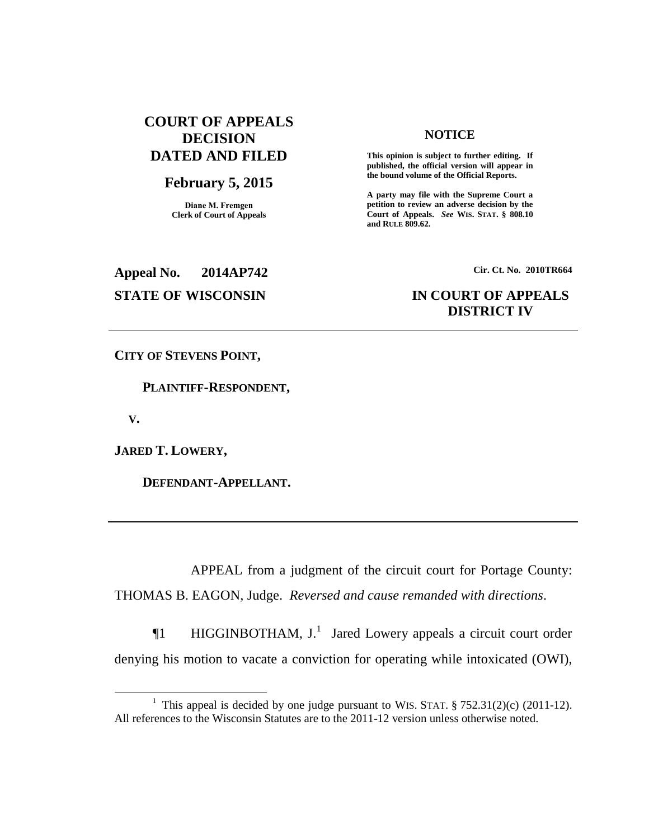# **COURT OF APPEALS DECISION DATED AND FILED**

## **February 5, 2015**

**Diane M. Fremgen Clerk of Court of Appeals**

### **NOTICE**

**This opinion is subject to further editing. If published, the official version will appear in the bound volume of the Official Reports.** 

**A party may file with the Supreme Court a petition to review an adverse decision by the Court of Appeals.** *See* **WIS. STAT. § 808.10 and RULE 809.62.** 

**Appeal No. 2014AP742 Cir. Ct. No. 2010TR664**

# **STATE OF WISCONSIN IN COURT OF APPEALS DISTRICT IV**

**CITY OF STEVENS POINT,**

 **PLAINTIFF-RESPONDENT,**

 **V.**

 $\overline{a}$ 

**JARED T. LOWERY,**

 **DEFENDANT-APPELLANT.**

APPEAL from a judgment of the circuit court for Portage County: THOMAS B. EAGON, Judge. *Reversed and cause remanded with directions*.

 $\P1$  HIGGINBOTHAM, J.<sup>1</sup> Jared Lowery appeals a circuit court order denying his motion to vacate a conviction for operating while intoxicated (OWI),

<sup>&</sup>lt;sup>1</sup> This appeal is decided by one judge pursuant to WIS. STAT.  $\S 752.31(2)(c)$  (2011-12). All references to the Wisconsin Statutes are to the 2011-12 version unless otherwise noted.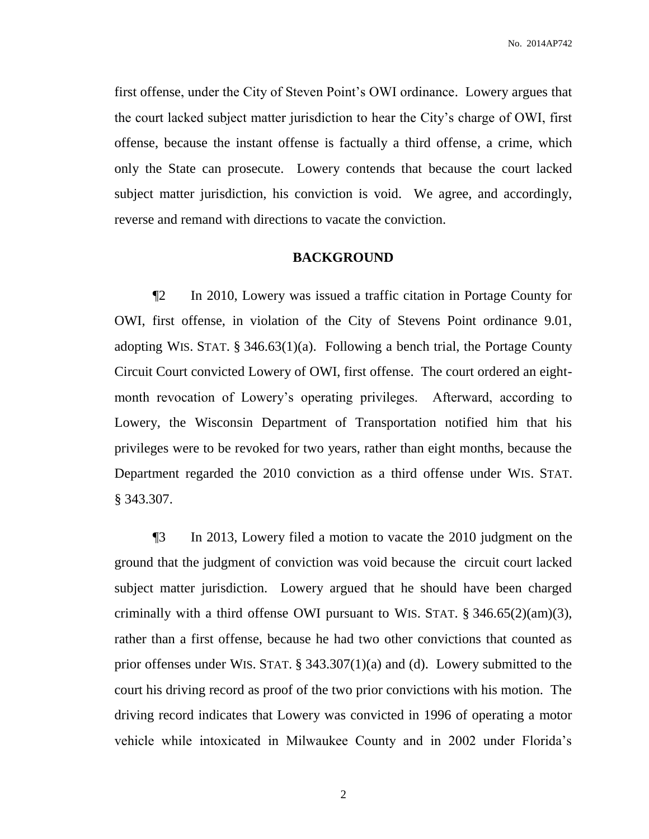first offense, under the City of Steven Point's OWI ordinance. Lowery argues that the court lacked subject matter jurisdiction to hear the City's charge of OWI, first offense, because the instant offense is factually a third offense, a crime, which only the State can prosecute. Lowery contends that because the court lacked subject matter jurisdiction, his conviction is void. We agree, and accordingly, reverse and remand with directions to vacate the conviction.

### **BACKGROUND**

¶2 In 2010, Lowery was issued a traffic citation in Portage County for OWI, first offense, in violation of the City of Stevens Point ordinance 9.01, adopting WIS. STAT. § 346.63(1)(a). Following a bench trial, the Portage County Circuit Court convicted Lowery of OWI, first offense. The court ordered an eightmonth revocation of Lowery's operating privileges. Afterward, according to Lowery, the Wisconsin Department of Transportation notified him that his privileges were to be revoked for two years, rather than eight months, because the Department regarded the 2010 conviction as a third offense under WIS. STAT. § 343.307.

¶3 In 2013, Lowery filed a motion to vacate the 2010 judgment on the ground that the judgment of conviction was void because the circuit court lacked subject matter jurisdiction. Lowery argued that he should have been charged criminally with a third offense OWI pursuant to WIS. STAT. § 346.65(2)(am)(3), rather than a first offense, because he had two other convictions that counted as prior offenses under WIS. STAT. § 343.307(1)(a) and (d). Lowery submitted to the court his driving record as proof of the two prior convictions with his motion. The driving record indicates that Lowery was convicted in 1996 of operating a motor vehicle while intoxicated in Milwaukee County and in 2002 under Florida's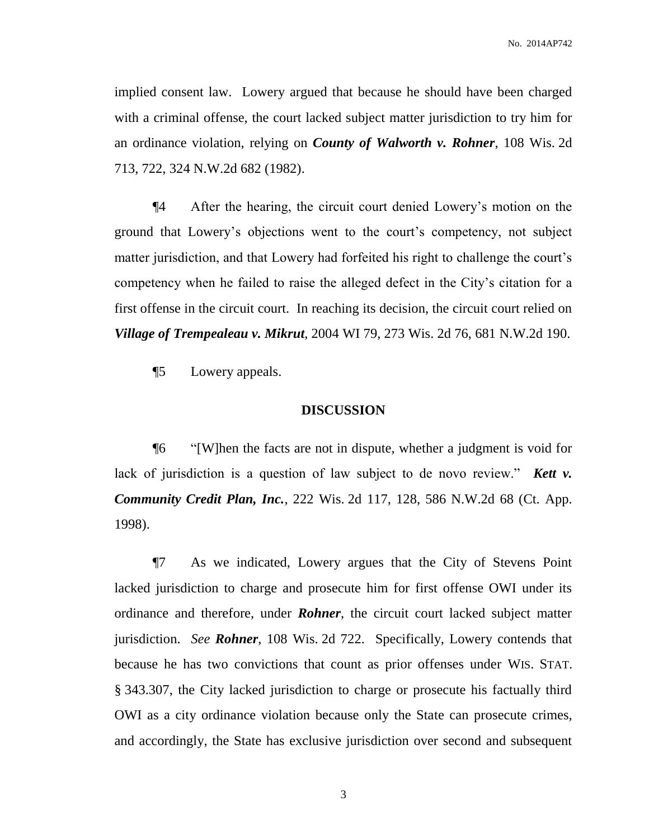implied consent law. Lowery argued that because he should have been charged with a criminal offense, the court lacked subject matter jurisdiction to try him for an ordinance violation, relying on *County of Walworth v. Rohner*, 108 Wis. 2d 713, 722, 324 N.W.2d 682 (1982).

¶4 After the hearing, the circuit court denied Lowery's motion on the ground that Lowery's objections went to the court's competency, not subject matter jurisdiction, and that Lowery had forfeited his right to challenge the court's competency when he failed to raise the alleged defect in the City's citation for a first offense in the circuit court. In reaching its decision, the circuit court relied on *Village of Trempealeau v. Mikrut*, 2004 WI 79, 273 Wis. 2d 76, 681 N.W.2d 190.

¶5 Lowery appeals.

### **DISCUSSION**

¶6 "[W]hen the facts are not in dispute, whether a judgment is void for lack of jurisdiction is a question of law subject to de novo review." *Kett v. Community Credit Plan, Inc.*, 222 Wis. 2d 117, 128, 586 N.W.2d 68 (Ct. App. 1998).

¶7 As we indicated, Lowery argues that the City of Stevens Point lacked jurisdiction to charge and prosecute him for first offense OWI under its ordinance and therefore, under *Rohner*, the circuit court lacked subject matter jurisdiction. *See Rohner*, 108 Wis. 2d 722. Specifically, Lowery contends that because he has two convictions that count as prior offenses under WIS. STAT. § 343.307, the City lacked jurisdiction to charge or prosecute his factually third OWI as a city ordinance violation because only the State can prosecute crimes, and accordingly, the State has exclusive jurisdiction over second and subsequent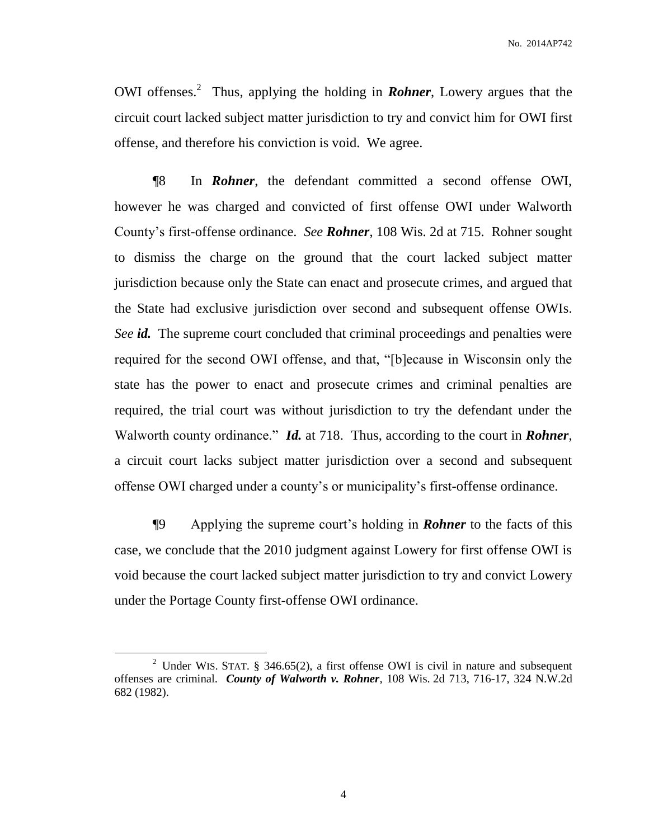OWI offenses.<sup>2</sup> Thus, applying the holding in *Rohner*, Lowery argues that the circuit court lacked subject matter jurisdiction to try and convict him for OWI first offense, and therefore his conviction is void. We agree.

¶8 In *Rohner*, the defendant committed a second offense OWI, however he was charged and convicted of first offense OWI under Walworth County's first-offense ordinance. *See Rohner*, 108 Wis. 2d at 715. Rohner sought to dismiss the charge on the ground that the court lacked subject matter jurisdiction because only the State can enact and prosecute crimes, and argued that the State had exclusive jurisdiction over second and subsequent offense OWIs. *See id.* The supreme court concluded that criminal proceedings and penalties were required for the second OWI offense, and that, "[b]ecause in Wisconsin only the state has the power to enact and prosecute crimes and criminal penalties are required, the trial court was without jurisdiction to try the defendant under the Walworth county ordinance." *Id.* at 718. Thus, according to the court in *Rohner*, a circuit court lacks subject matter jurisdiction over a second and subsequent offense OWI charged under a county's or municipality's first-offense ordinance.

¶9 Applying the supreme court's holding in *Rohner* to the facts of this case, we conclude that the 2010 judgment against Lowery for first offense OWI is void because the court lacked subject matter jurisdiction to try and convict Lowery under the Portage County first-offense OWI ordinance.

 $\overline{a}$ 

<sup>&</sup>lt;sup>2</sup> Under WIS. STAT. § 346.65(2), a first offense OWI is civil in nature and subsequent offenses are criminal. *County of Walworth v. Rohner,* 108 Wis. 2d 713, 716-17, 324 N.W.2d 682 (1982).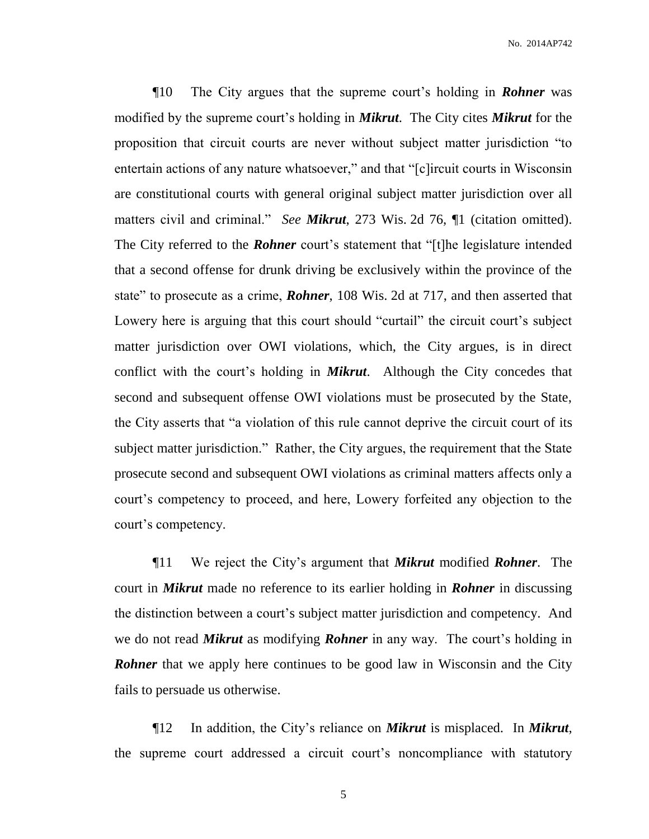¶10 The City argues that the supreme court's holding in *Rohner* was modified by the supreme court's holding in *Mikrut*. The City cites *Mikrut* for the proposition that circuit courts are never without subject matter jurisdiction "to entertain actions of any nature whatsoever," and that "[c]ircuit courts in Wisconsin are constitutional courts with general original subject matter jurisdiction over all matters civil and criminal." *See Mikrut*, 273 Wis. 2d 76, ¶1 (citation omitted). The City referred to the *Rohner* court's statement that "[t]he legislature intended that a second offense for drunk driving be exclusively within the province of the state" to prosecute as a crime, *Rohner*, 108 Wis. 2d at 717, and then asserted that Lowery here is arguing that this court should "curtail" the circuit court's subject matter jurisdiction over OWI violations, which, the City argues, is in direct conflict with the court's holding in *Mikrut*. Although the City concedes that second and subsequent offense OWI violations must be prosecuted by the State, the City asserts that "a violation of this rule cannot deprive the circuit court of its subject matter jurisdiction." Rather, the City argues, the requirement that the State prosecute second and subsequent OWI violations as criminal matters affects only a court's competency to proceed, and here, Lowery forfeited any objection to the court's competency.

¶11 We reject the City's argument that *Mikrut* modified *Rohner*. The court in *Mikrut* made no reference to its earlier holding in *Rohner* in discussing the distinction between a court's subject matter jurisdiction and competency. And we do not read *Mikrut* as modifying *Rohner* in any way. The court's holding in *Rohner* that we apply here continues to be good law in Wisconsin and the City fails to persuade us otherwise.

¶12 In addition, the City's reliance on *Mikrut* is misplaced. In *Mikrut*, the supreme court addressed a circuit court's noncompliance with statutory